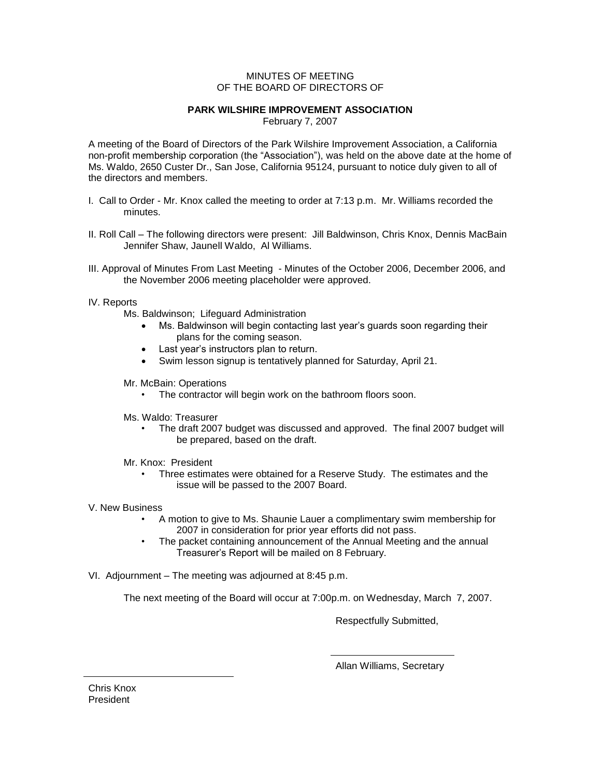## MINUTES OF MEETING OF THE BOARD OF DIRECTORS OF

## **PARK WILSHIRE IMPROVEMENT ASSOCIATION**

February 7, 2007

A meeting of the Board of Directors of the Park Wilshire Improvement Association, a California non-profit membership corporation (the "Association"), was held on the above date at the home of Ms. Waldo, 2650 Custer Dr., San Jose, California 95124, pursuant to notice duly given to all of the directors and members.

- I. Call to Order Mr. Knox called the meeting to order at 7:13 p.m. Mr. Williams recorded the minutes.
- II. Roll Call The following directors were present: Jill Baldwinson, Chris Knox, Dennis MacBain Jennifer Shaw, Jaunell Waldo, Al Williams.
- III. Approval of Minutes From Last Meeting Minutes of the October 2006, December 2006, and the November 2006 meeting placeholder were approved.

## IV. Reports

- Ms. Baldwinson; Lifeguard Administration
	- Ms. Baldwinson will begin contacting last year's guards soon regarding their plans for the coming season.
	- Last year's instructors plan to return.
	- Swim lesson signup is tentatively planned for Saturday, April 21.
- Mr. McBain: Operations
	- The contractor will begin work on the bathroom floors soon.
- Ms. Waldo: Treasurer
	- The draft 2007 budget was discussed and approved. The final 2007 budget will be prepared, based on the draft.
- Mr. Knox: President
	- Three estimates were obtained for a Reserve Study. The estimates and the issue will be passed to the 2007 Board.
- V. New Business
	- A motion to give to Ms. Shaunie Lauer a complimentary swim membership for 2007 in consideration for prior year efforts did not pass.
	- The packet containing announcement of the Annual Meeting and the annual Treasurer's Report will be mailed on 8 February.
- VI. Adjournment The meeting was adjourned at 8:45 p.m.

The next meeting of the Board will occur at 7:00p.m. on Wednesday, March 7, 2007.

Respectfully Submitted,

Allan Williams, Secretary

Chris Knox President